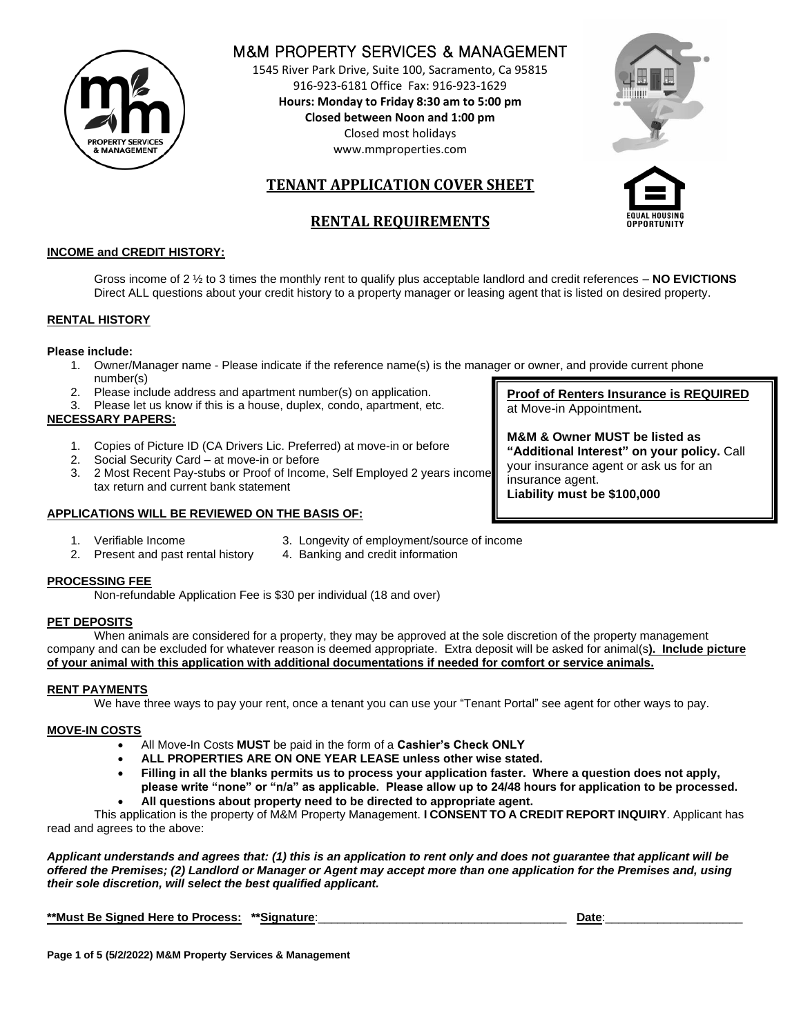

# M&M PROPERTY SERVICES & MANAGEMENT

1545 River Park Drive, Suite 100, Sacramento, Ca 95815 916-923-6181 Office Fax: 916-923-1629 **Hours: Monday to Friday 8:30 am to 5:00 pm Closed between Noon and 1:00 pm**  Closed most holidays www.mmproperties.com



# **TENANT APPLICATION COVER SHEET**

# **RENTAL REQUIREMENTS**



## **INCOME and CREDIT HISTORY:**

Gross income of 2 ½ to 3 times the monthly rent to qualify plus acceptable landlord and credit references – **NO EVICTIONS** Direct ALL questions about your credit history to a property manager or leasing agent that is listed on desired property.

### **RENTAL HISTORY**

### **Please include:**

- 1. Owner/Manager name Please indicate if the reference name(s) is the manager or owner, and provide current phone number(s)
- 2. Please include address and apartment number(s) on application.
- 3. Please let us know if this is a house, duplex, condo, apartment, etc. **NECESSARY PAPERS:**
	- 1. Copies of Picture ID (CA Drivers Lic. Preferred) at move-in or before
	- 2. Social Security Card at move-in or before
	- 3. 2 Most Recent Pay-stubs or Proof of Income, Self Employed 2 years income tax return and current bank statement

## **APPLICATIONS WILL BE REVIEWED ON THE BASIS OF:**

- 
- 1. Verifiable Income 3. Longevity of employment/source of income 2. Present and past rental history 4. Banking and credit information
- **PROCESSING FEE**

Non-refundable Application Fee is \$30 per individual (18 and over)

### **PET DEPOSITS**

When animals are considered for a property, they may be approved at the sole discretion of the property management company and can be excluded for whatever reason is deemed appropriate. Extra deposit will be asked for animal(s**). Include picture of your animal with this application with additional documentations if needed for comfort or service animals.**

### **RENT PAYMENTS**

We have three ways to pay your rent, once a tenant you can use your "Tenant Portal" see agent for other ways to pay.

### **MOVE-IN COSTS**

- All Move-In Costs **MUST** be paid in the form of a **Cashier's Check ONLY**
- **ALL PROPERTIES ARE ON ONE YEAR LEASE unless other wise stated.**
- **Filling in all the blanks permits us to process your application faster. Where a question does not apply, please write "none" or "n/a" as applicable. Please allow up to 24/48 hours for application to be processed.** • **All questions about property need to be directed to appropriate agent.**
- This application is the property of M&M Property Management. **I CONSENT TO A CREDIT REPORT INQUIRY**. Applicant has read and agrees to the above:

*Applicant understands and agrees that: (1) this is an application to rent only and does not guarantee that applicant will be offered the Premises; (2) Landlord or Manager or Agent may accept more than one application for the Premises and, using their sole discretion, will select the best qualified applicant.*

| **Must Be Signed Here to Process: **Signature: |  | Date |
|------------------------------------------------|--|------|
|------------------------------------------------|--|------|

**M&M & Owner MUST be listed as "Additional Interest" on your policy.** Call your insurance agent or ask us for an

**Proof of Renters Insurance is REQUIRED**

insurance agent. **Liability must be \$100,000**

at Move-in Appointment**.**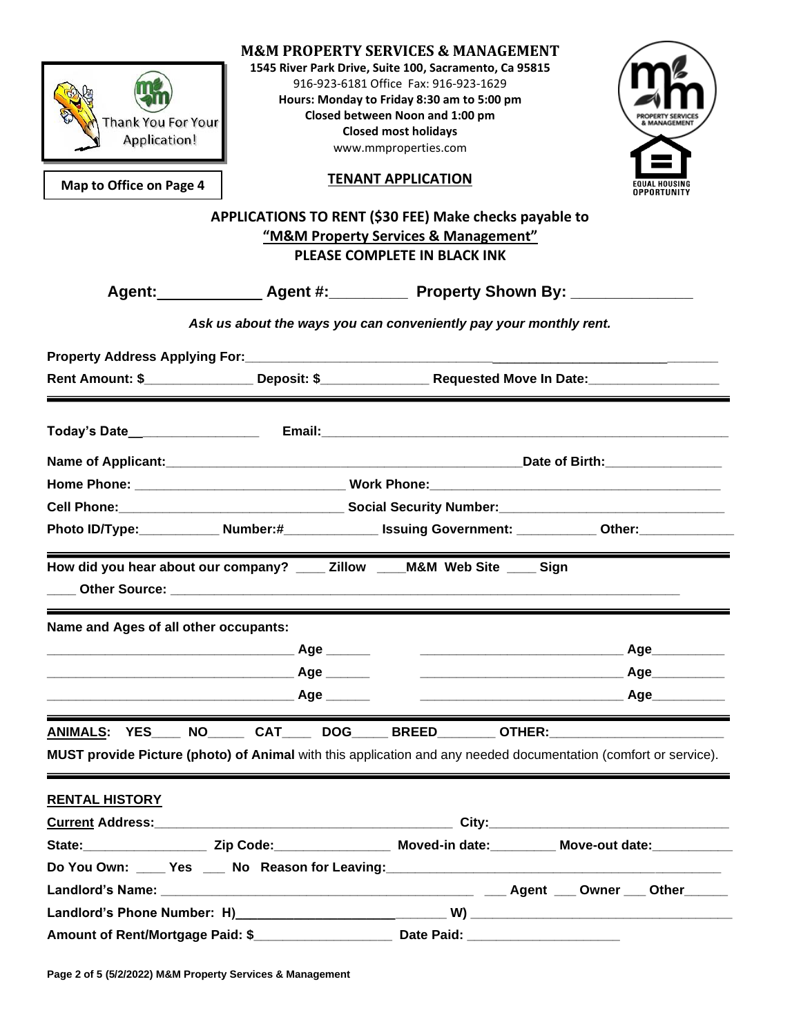| Thank You For Your<br><b>Application!</b><br>Map to Office on Page 4                                                                                                                                                                                                                                         | <b>M&amp;M PROPERTY SERVICES &amp; MANAGEMENT</b><br>1545 River Park Drive, Suite 100, Sacramento, Ca 95815<br>916-923-6181 Office Fax: 916-923-1629<br>Hours: Monday to Friday 8:30 am to 5:00 pm<br>Closed between Noon and 1:00 pm<br><b>Closed most holidays</b><br>www.mmproperties.com<br><b>TENANT APPLICATION</b><br>APPLICATIONS TO RENT (\$30 FEE) Make checks payable to<br>"M&M Property Services & Management"<br>PLEASE COMPLETE IN BLACK INK |                                                                                                                 |
|--------------------------------------------------------------------------------------------------------------------------------------------------------------------------------------------------------------------------------------------------------------------------------------------------------------|-------------------------------------------------------------------------------------------------------------------------------------------------------------------------------------------------------------------------------------------------------------------------------------------------------------------------------------------------------------------------------------------------------------------------------------------------------------|-----------------------------------------------------------------------------------------------------------------|
|                                                                                                                                                                                                                                                                                                              |                                                                                                                                                                                                                                                                                                                                                                                                                                                             | Agent: _______________ Agent #: _____________ Property Shown By: _______________                                |
|                                                                                                                                                                                                                                                                                                              |                                                                                                                                                                                                                                                                                                                                                                                                                                                             |                                                                                                                 |
|                                                                                                                                                                                                                                                                                                              | Ask us about the ways you can conveniently pay your monthly rent.                                                                                                                                                                                                                                                                                                                                                                                           |                                                                                                                 |
|                                                                                                                                                                                                                                                                                                              |                                                                                                                                                                                                                                                                                                                                                                                                                                                             |                                                                                                                 |
|                                                                                                                                                                                                                                                                                                              |                                                                                                                                                                                                                                                                                                                                                                                                                                                             |                                                                                                                 |
|                                                                                                                                                                                                                                                                                                              |                                                                                                                                                                                                                                                                                                                                                                                                                                                             |                                                                                                                 |
|                                                                                                                                                                                                                                                                                                              |                                                                                                                                                                                                                                                                                                                                                                                                                                                             |                                                                                                                 |
|                                                                                                                                                                                                                                                                                                              |                                                                                                                                                                                                                                                                                                                                                                                                                                                             |                                                                                                                 |
|                                                                                                                                                                                                                                                                                                              |                                                                                                                                                                                                                                                                                                                                                                                                                                                             |                                                                                                                 |
|                                                                                                                                                                                                                                                                                                              |                                                                                                                                                                                                                                                                                                                                                                                                                                                             |                                                                                                                 |
|                                                                                                                                                                                                                                                                                                              |                                                                                                                                                                                                                                                                                                                                                                                                                                                             | Photo ID/Type:____________ Number:#______________ Issuing Government: ___________ Other:____________            |
|                                                                                                                                                                                                                                                                                                              |                                                                                                                                                                                                                                                                                                                                                                                                                                                             |                                                                                                                 |
| How did you hear about our company? ____ Zillow ____ M&M Web Site ____ Sign<br>Other Source: with a state of the control of the control of the control of the control of the control of the control of the control of the control of the control of the control of the control of the control of the control |                                                                                                                                                                                                                                                                                                                                                                                                                                                             |                                                                                                                 |
| Name and Ages of all other occupants:                                                                                                                                                                                                                                                                        |                                                                                                                                                                                                                                                                                                                                                                                                                                                             |                                                                                                                 |
|                                                                                                                                                                                                                                                                                                              |                                                                                                                                                                                                                                                                                                                                                                                                                                                             |                                                                                                                 |
|                                                                                                                                                                                                                                                                                                              |                                                                                                                                                                                                                                                                                                                                                                                                                                                             |                                                                                                                 |
|                                                                                                                                                                                                                                                                                                              |                                                                                                                                                                                                                                                                                                                                                                                                                                                             |                                                                                                                 |
|                                                                                                                                                                                                                                                                                                              |                                                                                                                                                                                                                                                                                                                                                                                                                                                             |                                                                                                                 |
|                                                                                                                                                                                                                                                                                                              |                                                                                                                                                                                                                                                                                                                                                                                                                                                             | ANIMALS: YES____ NO______ CAT_____ DOG_____ BREED________ OTHER:_________________                               |
|                                                                                                                                                                                                                                                                                                              |                                                                                                                                                                                                                                                                                                                                                                                                                                                             | MUST provide Picture (photo) of Animal with this application and any needed documentation (comfort or service). |
| <b>RENTAL HISTORY</b>                                                                                                                                                                                                                                                                                        |                                                                                                                                                                                                                                                                                                                                                                                                                                                             |                                                                                                                 |
|                                                                                                                                                                                                                                                                                                              |                                                                                                                                                                                                                                                                                                                                                                                                                                                             |                                                                                                                 |
|                                                                                                                                                                                                                                                                                                              |                                                                                                                                                                                                                                                                                                                                                                                                                                                             | State: Charles Color Cip Code: Charles Color Moved-in date: Charles Move-out date:                              |
|                                                                                                                                                                                                                                                                                                              |                                                                                                                                                                                                                                                                                                                                                                                                                                                             |                                                                                                                 |
|                                                                                                                                                                                                                                                                                                              |                                                                                                                                                                                                                                                                                                                                                                                                                                                             |                                                                                                                 |
|                                                                                                                                                                                                                                                                                                              |                                                                                                                                                                                                                                                                                                                                                                                                                                                             |                                                                                                                 |
|                                                                                                                                                                                                                                                                                                              |                                                                                                                                                                                                                                                                                                                                                                                                                                                             |                                                                                                                 |

**Page 2 of 5 (5/2/2022) M&M Property Services & Management**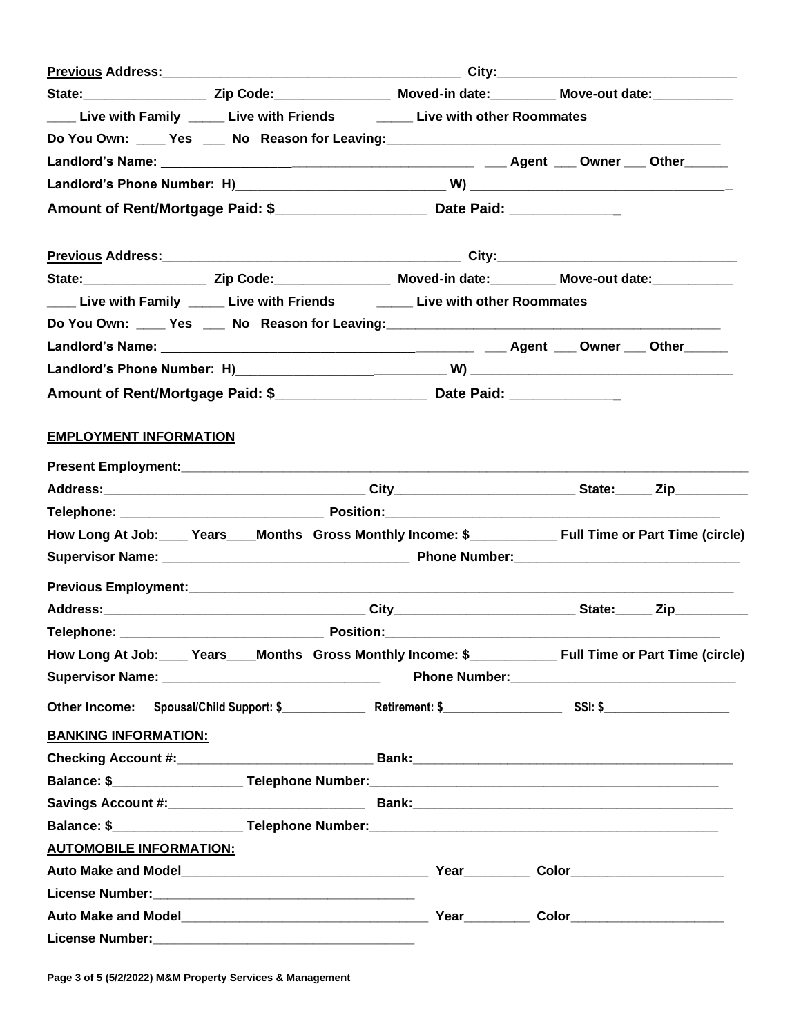| State: ________________________Zip Code: ________________________Moved-in date: _______________Move-out date: ______________ |  |  |  |
|------------------------------------------------------------------------------------------------------------------------------|--|--|--|
| Live with Family _____ Live with Friends _______ Live with other Roommates                                                   |  |  |  |
|                                                                                                                              |  |  |  |
|                                                                                                                              |  |  |  |
|                                                                                                                              |  |  |  |
|                                                                                                                              |  |  |  |
|                                                                                                                              |  |  |  |
| State: _______________________ Zip Code: ____________________ Moved-in date: ___________ Move-out date: ___________          |  |  |  |
| Live with Family Louis Live with Friends Live with other Roommates                                                           |  |  |  |
|                                                                                                                              |  |  |  |
|                                                                                                                              |  |  |  |
|                                                                                                                              |  |  |  |
|                                                                                                                              |  |  |  |
| <b>EMPLOYMENT INFORMATION</b>                                                                                                |  |  |  |
|                                                                                                                              |  |  |  |
|                                                                                                                              |  |  |  |
|                                                                                                                              |  |  |  |
| How Long At Job: Years Months Gross Monthly Income: \$                                                                       |  |  |  |
|                                                                                                                              |  |  |  |
|                                                                                                                              |  |  |  |
|                                                                                                                              |  |  |  |
|                                                                                                                              |  |  |  |
|                                                                                                                              |  |  |  |
|                                                                                                                              |  |  |  |
|                                                                                                                              |  |  |  |
| <b>BANKING INFORMATION:</b>                                                                                                  |  |  |  |
|                                                                                                                              |  |  |  |
|                                                                                                                              |  |  |  |
|                                                                                                                              |  |  |  |
| Balance: \$ _____________________Telephone Number:_______________________________                                            |  |  |  |
| <b>AUTOMOBILE INFORMATION:</b>                                                                                               |  |  |  |
|                                                                                                                              |  |  |  |
|                                                                                                                              |  |  |  |
|                                                                                                                              |  |  |  |
|                                                                                                                              |  |  |  |